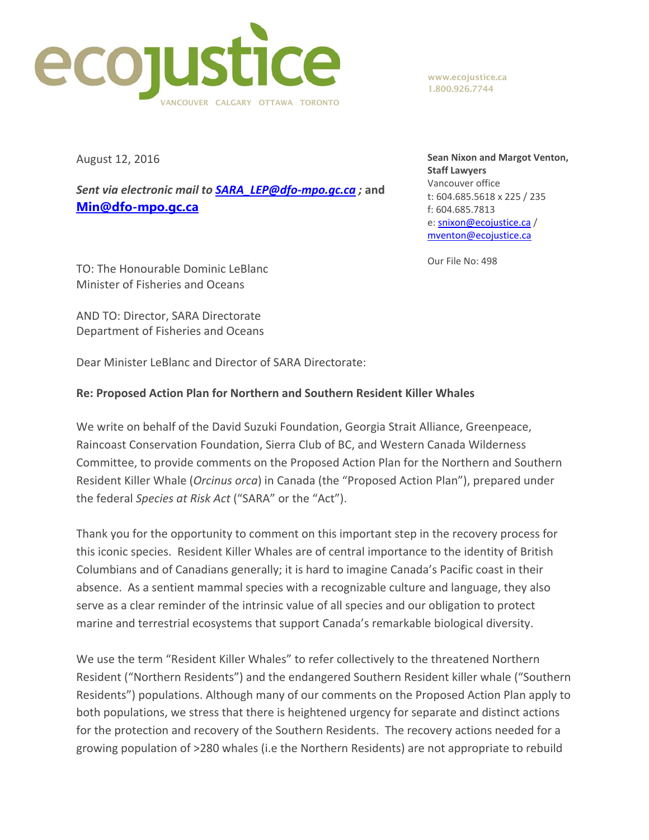

www.ecojustice.ca 1.800.926.7744

August 12, 2016

*Sent via electronic mail to SARA\_LEP@dfo‐mpo.gc.ca ;* **and Min@dfo-mpo.gc.ca**

**Sean Nixon and Margot Venton, Staff Lawyers** Vancouver office t: 604.685.5618 x 225 / 235 f: 604.685.7813 e: snixon@ecojustice.ca / mventon@ecojustice.ca

Our File No: 498

TO: The Honourable Dominic LeBlanc Minister of Fisheries and Oceans

AND TO: Director, SARA Directorate Department of Fisheries and Oceans

Dear Minister LeBlanc and Director of SARA Directorate:

## **Re: Proposed Action Plan for Northern and Southern Resident Killer Whales**

We write on behalf of the David Suzuki Foundation, Georgia Strait Alliance, Greenpeace, Raincoast Conservation Foundation, Sierra Club of BC, and Western Canada Wilderness Committee, to provide comments on the Proposed Action Plan for the Northern and Southern Resident Killer Whale (*Orcinus orca*) in Canada (the "Proposed Action Plan"), prepared under the federal *Species at Risk Act* ("SARA" or the "Act").

Thank you for the opportunity to comment on this important step in the recovery process for this iconic species. Resident Killer Whales are of central importance to the identity of British Columbians and of Canadians generally; it is hard to imagine Canada's Pacific coast in their absence. As a sentient mammal species with a recognizable culture and language, they also serve as a clear reminder of the intrinsic value of all species and our obligation to protect marine and terrestrial ecosystems that support Canada's remarkable biological diversity.

We use the term "Resident Killer Whales" to refer collectively to the threatened Northern Resident ("Northern Residents") and the endangered Southern Resident killer whale ("Southern Residents") populations. Although many of our comments on the Proposed Action Plan apply to both populations, we stress that there is heightened urgency for separate and distinct actions for the protection and recovery of the Southern Residents. The recovery actions needed for a growing population of >280 whales (i.e the Northern Residents) are not appropriate to rebuild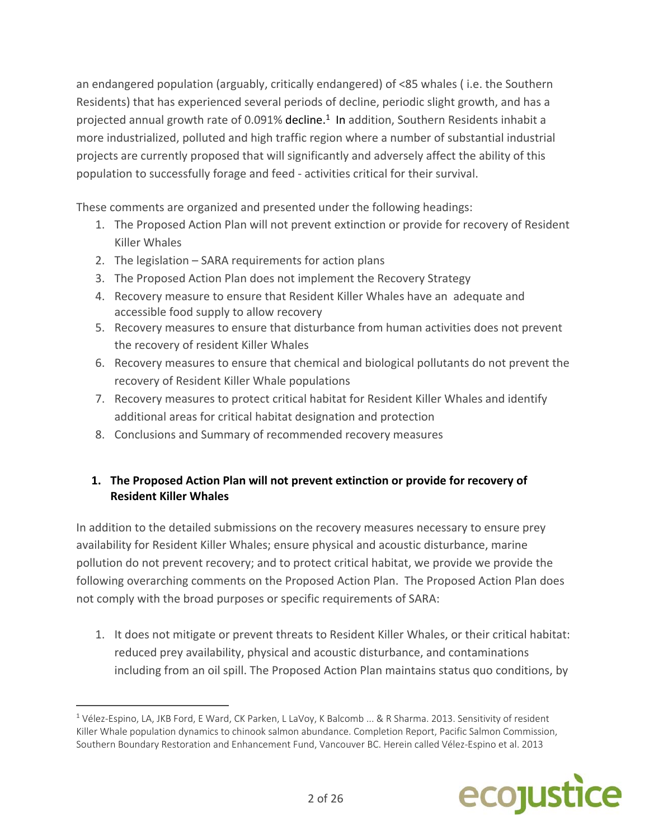an endangered population (arguably, critically endangered) of <85 whales ( i.e. the Southern Residents) that has experienced several periods of decline, periodic slight growth, and has a projected annual growth rate of 0.091% decline.<sup>1</sup> In addition, Southern Residents inhabit a more industrialized, polluted and high traffic region where a number of substantial industrial projects are currently proposed that will significantly and adversely affect the ability of this population to successfully forage and feed ‐ activities critical for their survival.

These comments are organized and presented under the following headings:

- 1. The Proposed Action Plan will not prevent extinction or provide for recovery of Resident Killer Whales
- 2. The legislation SARA requirements for action plans
- 3. The Proposed Action Plan does not implement the Recovery Strategy
- 4. Recovery measure to ensure that Resident Killer Whales have an adequate and accessible food supply to allow recovery
- 5. Recovery measures to ensure that disturbance from human activities does not prevent the recovery of resident Killer Whales
- 6. Recovery measures to ensure that chemical and biological pollutants do not prevent the recovery of Resident Killer Whale populations
- 7. Recovery measures to protect critical habitat for Resident Killer Whales and identify additional areas for critical habitat designation and protection
- 8. Conclusions and Summary of recommended recovery measures

## **1. The Proposed Action Plan will not prevent extinction or provide for recovery of Resident Killer Whales**

In addition to the detailed submissions on the recovery measures necessary to ensure prey availability for Resident Killer Whales; ensure physical and acoustic disturbance, marine pollution do not prevent recovery; and to protect critical habitat, we provide we provide the following overarching comments on the Proposed Action Plan. The Proposed Action Plan does not comply with the broad purposes or specific requirements of SARA:

1. It does not mitigate or prevent threats to Resident Killer Whales, or their critical habitat: reduced prey availability, physical and acoustic disturbance, and contaminations including from an oil spill. The Proposed Action Plan maintains status quo conditions, by



<sup>1</sup> Vélez‐Espino, LA, JKB Ford, E Ward, CK Parken, L LaVoy, K Balcomb ... & R Sharma. 2013. Sensitivity of resident Killer Whale population dynamics to chinook salmon abundance. Completion Report, Pacific Salmon Commission, Southern Boundary Restoration and Enhancement Fund, Vancouver BC. Herein called Vélez‐Espino et al. 2013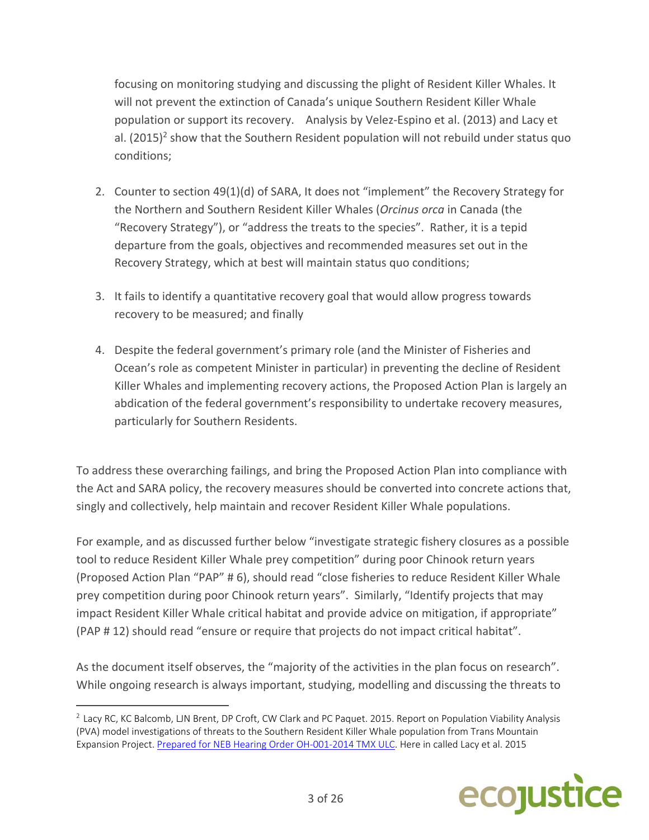focusing on monitoring studying and discussing the plight of Resident Killer Whales. It will not prevent the extinction of Canada's unique Southern Resident Killer Whale population or support its recovery. Analysis by Velez‐Espino et al. (2013) and Lacy et al.  $(2015)^2$  show that the Southern Resident population will not rebuild under status quo conditions;

- 2. Counter to section 49(1)(d) of SARA, It does not "implement" the Recovery Strategy for the Northern and Southern Resident Killer Whales (*Orcinus orca* in Canada (the "Recovery Strategy"), or "address the treats to the species". Rather, it is a tepid departure from the goals, objectives and recommended measures set out in the Recovery Strategy, which at best will maintain status quo conditions;
- 3. It fails to identify a quantitative recovery goal that would allow progress towards recovery to be measured; and finally
- 4. Despite the federal government's primary role (and the Minister of Fisheries and Ocean's role as competent Minister in particular) in preventing the decline of Resident Killer Whales and implementing recovery actions, the Proposed Action Plan is largely an abdication of the federal government's responsibility to undertake recovery measures, particularly for Southern Residents.

To address these overarching failings, and bring the Proposed Action Plan into compliance with the Act and SARA policy, the recovery measures should be converted into concrete actions that, singly and collectively, help maintain and recover Resident Killer Whale populations.

For example, and as discussed further below "investigate strategic fishery closures as a possible tool to reduce Resident Killer Whale prey competition" during poor Chinook return years (Proposed Action Plan "PAP" # 6), should read "close fisheries to reduce Resident Killer Whale prey competition during poor Chinook return years". Similarly, "Identify projects that may impact Resident Killer Whale critical habitat and provide advice on mitigation, if appropriate" (PAP # 12) should read "ensure or require that projects do not impact critical habitat".

As the document itself observes, the "majority of the activities in the plan focus on research". While ongoing research is always important, studying, modelling and discussing the threats to



<sup>&</sup>lt;sup>2</sup> Lacy RC, KC Balcomb, LJN Brent, DP Croft, CW Clark and PC Paquet. 2015. Report on Population Viability Analysis (PVA) model investigations of threats to the Southern Resident Killer Whale population from Trans Mountain Expansion Project. Prepared for NEB Hearing Order OH‐001‐2014 TMX ULC. Here in called Lacy et al. 2015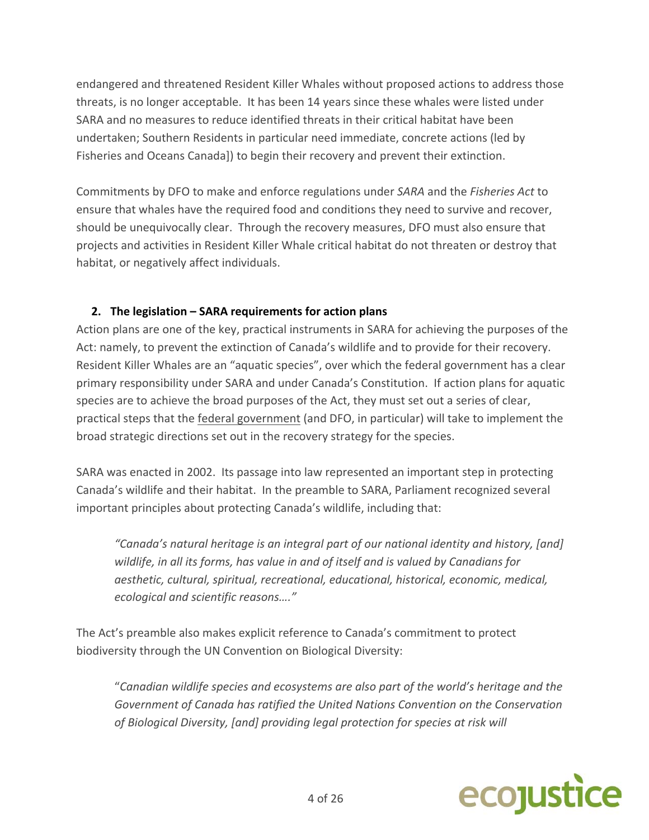endangered and threatened Resident Killer Whales without proposed actions to address those threats, is no longer acceptable. It has been 14 years since these whales were listed under SARA and no measures to reduce identified threats in their critical habitat have been undertaken; Southern Residents in particular need immediate, concrete actions (led by Fisheries and Oceans Canada]) to begin their recovery and prevent their extinction.

Commitments by DFO to make and enforce regulations under *SARA* and the *Fisheries Act* to ensure that whales have the required food and conditions they need to survive and recover, should be unequivocally clear. Through the recovery measures, DFO must also ensure that projects and activities in Resident Killer Whale critical habitat do not threaten or destroy that habitat, or negatively affect individuals.

## **2. The legislation – SARA requirements for action plans**

Action plans are one of the key, practical instruments in SARA for achieving the purposes of the Act: namely, to prevent the extinction of Canada's wildlife and to provide for their recovery. Resident Killer Whales are an "aquatic species", over which the federal government has a clear primary responsibility under SARA and under Canada's Constitution. If action plans for aquatic species are to achieve the broad purposes of the Act, they must set out a series of clear, practical steps that the federal government (and DFO, in particular) will take to implement the broad strategic directions set out in the recovery strategy for the species.

SARA was enacted in 2002. Its passage into law represented an important step in protecting Canada's wildlife and their habitat. In the preamble to SARA, Parliament recognized several important principles about protecting Canada's wildlife, including that:

*"Canada's natural heritage is an integral part of our national identity and history, [and] wildlife, in all its forms, has value in and of itself and is valued by Canadians for aesthetic, cultural, spiritual, recreational, educational, historical, economic, medical, ecological and scientific reasons…."*

The Act's preamble also makes explicit reference to Canada's commitment to protect biodiversity through the UN Convention on Biological Diversity:

"*Canadian wildlife species and ecosystems are also part of the world's heritage and the Government of Canada has ratified the United Nations Convention on the Conservation of Biological Diversity, [and] providing legal protection for species at risk will*

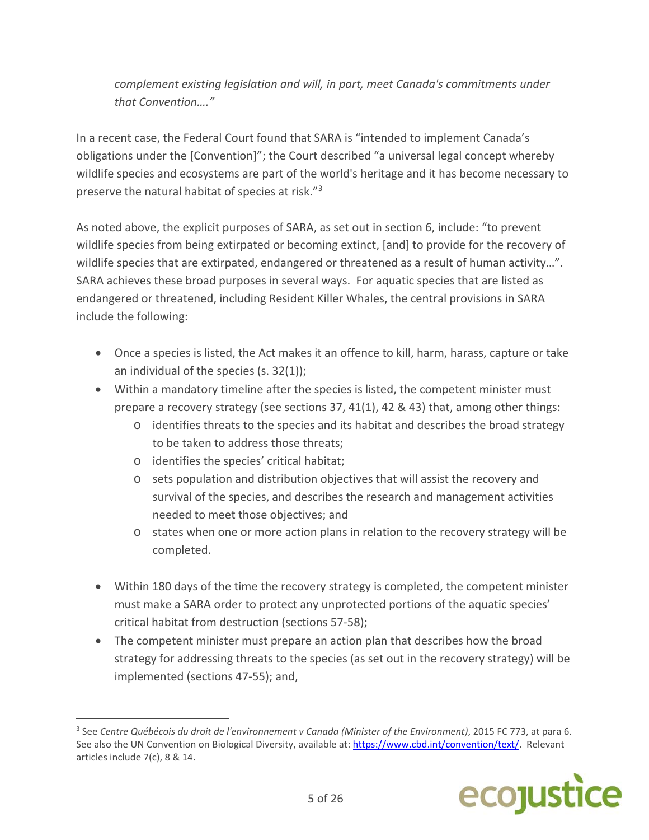*complement existing legislation and will, in part, meet Canada's commitments under that Convention…."*

In a recent case, the Federal Court found that SARA is "intended to implement Canada's obligations under the [Convention]"; the Court described "a universal legal concept whereby wildlife species and ecosystems are part of the world's heritage and it has become necessary to preserve the natural habitat of species at risk."3

As noted above, the explicit purposes of SARA, as set out in section 6, include: "to prevent wildlife species from being extirpated or becoming extinct, [and] to provide for the recovery of wildlife species that are extirpated, endangered or threatened as a result of human activity…". SARA achieves these broad purposes in several ways. For aquatic species that are listed as endangered or threatened, including Resident Killer Whales, the central provisions in SARA include the following:

- Once a species is listed, the Act makes it an offence to kill, harm, harass, capture or take an individual of the species (s. 32(1));
- Within a mandatory timeline after the species is listed, the competent minister must prepare a recovery strategy (see sections 37, 41(1), 42 & 43) that, among other things:
	- o identifies threats to the species and its habitat and describes the broad strategy to be taken to address those threats;
	- o identifies the species' critical habitat;

- o sets population and distribution objectives that will assist the recovery and survival of the species, and describes the research and management activities needed to meet those objectives; and
- o states when one or more action plans in relation to the recovery strategy will be completed.
- Within 180 days of the time the recovery strategy is completed, the competent minister must make a SARA order to protect any unprotected portions of the aquatic species' critical habitat from destruction (sections 57‐58);
- The competent minister must prepare an action plan that describes how the broad strategy for addressing threats to the species (as set out in the recovery strategy) will be implemented (sections 47‐55); and,

<sup>3</sup> See *Centre Québécois du droit de l'environnement v Canada (Minister of the Environment)*, 2015 FC 773, at para 6. See also the UN Convention on Biological Diversity, available at: https://www.cbd.int/convention/text/. Relevant articles include 7(c), 8 & 14.

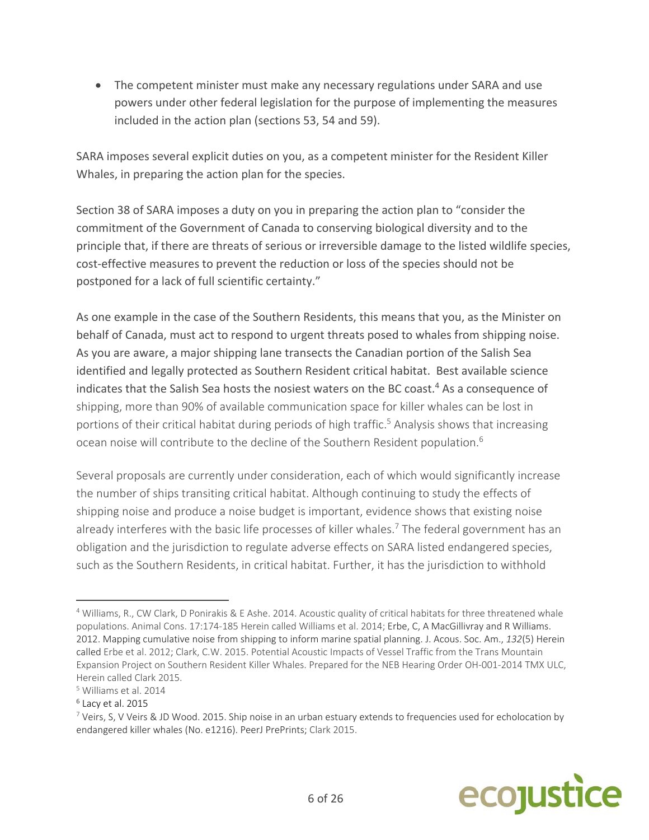The competent minister must make any necessary regulations under SARA and use powers under other federal legislation for the purpose of implementing the measures included in the action plan (sections 53, 54 and 59).

SARA imposes several explicit duties on you, as a competent minister for the Resident Killer Whales, in preparing the action plan for the species.

Section 38 of SARA imposes a duty on you in preparing the action plan to "consider the commitment of the Government of Canada to conserving biological diversity and to the principle that, if there are threats of serious or irreversible damage to the listed wildlife species, cost-effective measures to prevent the reduction or loss of the species should not be postponed for a lack of full scientific certainty."

As one example in the case of the Southern Residents, this means that you, as the Minister on behalf of Canada, must act to respond to urgent threats posed to whales from shipping noise. As you are aware, a major shipping lane transects the Canadian portion of the Salish Sea identified and legally protected as Southern Resident critical habitat. Best available science indicates that the Salish Sea hosts the nosiest waters on the BC coast.<sup>4</sup> As a consequence of shipping, more than 90% of available communication space for killer whales can be lost in portions of their critical habitat during periods of high traffic.<sup>5</sup> Analysis shows that increasing ocean noise will contribute to the decline of the Southern Resident population.<sup>6</sup>

Several proposals are currently under consideration, each of which would significantly increase the number of ships transiting critical habitat. Although continuing to study the effects of shipping noise and produce a noise budget is important, evidence shows that existing noise already interferes with the basic life processes of killer whales.<sup>7</sup> The federal government has an obligation and the jurisdiction to regulate adverse effects on SARA listed endangered species, such as the Southern Residents, in critical habitat. Further, it has the jurisdiction to withhold

 $7$  Veirs, S, V Veirs & JD Wood. 2015. Ship noise in an urban estuary extends to frequencies used for echolocation by endangered killer whales (No. e1216). PeerJ PrePrints; Clark 2015.



<sup>4</sup> Williams, R., CW Clark, D Ponirakis & E Ashe. 2014. Acoustic quality of critical habitats for three threatened whale populations. Animal Cons. 17:174‐185 Herein called Williams et al. 2014; Erbe, C, A MacGillivray and R Williams. 2012. Mapping cumulative noise from shipping to inform marine spatial planning. J. Acous. Soc. Am., *132*(5) Herein called Erbe et al. 2012; Clark, C.W. 2015. Potential Acoustic Impacts of Vessel Traffic from the Trans Mountain Expansion Project on Southern Resident Killer Whales. Prepared for the NEB Hearing Order OH‐001‐2014 TMX ULC, Herein called Clark 2015.

<sup>5</sup> Williams et al. 2014

 $6$  Lacy et al. 2015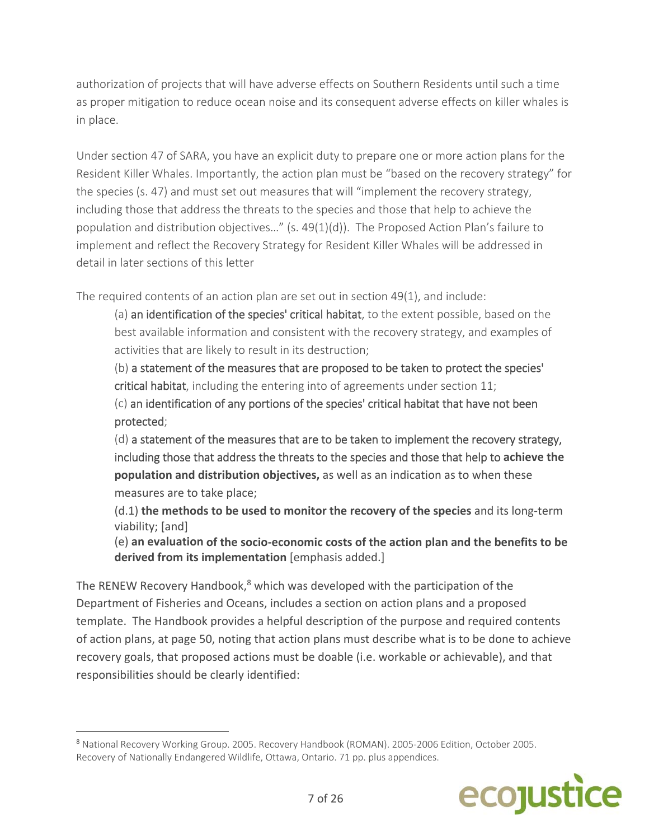authorization of projects that will have adverse effects on Southern Residents until such a time as proper mitigation to reduce ocean noise and its consequent adverse effects on killer whales is in place.

Under section 47 of SARA, you have an explicit duty to prepare one or more action plans for the Resident Killer Whales. Importantly, the action plan must be "based on the recovery strategy" for the species (s. 47) and must set out measures that will "implement the recovery strategy, including those that address the threats to the species and those that help to achieve the population and distribution objectives…" (s. 49(1)(d)). The Proposed Action Plan's failure to implement and reflect the Recovery Strategy for Resident Killer Whales will be addressed in detail in later sections of this letter

The required contents of an action plan are set out in section 49(1), and include:

(a) an identification of the species' critical habitat, to the extent possible, based on the best available information and consistent with the recovery strategy, and examples of activities that are likely to result in its destruction;

(b) a statement of the measures that are proposed to be taken to protect the species' critical habitat, including the entering into of agreements under section 11;

(c) an identification of any portions of the species' critical habitat that have not been protected;

(d) a statement of the measures that are to be taken to implement the recovery strategy, including those that address the threats to the species and those that help to **achieve the population and distribution objectives,** as well as an indication as to when these measures are to take place;

(d.1) **the methods to be used to monitor the recovery of the species** and its long‐term viability; [and]

(e) **an evaluation of the socio‐economic costs of the action plan and the benefits to be derived from its implementation** [emphasis added.]

The RENEW Recovery Handbook, $8$  which was developed with the participation of the Department of Fisheries and Oceans, includes a section on action plans and a proposed template. The Handbook provides a helpful description of the purpose and required contents of action plans, at page 50, noting that action plans must describe what is to be done to achieve recovery goals, that proposed actions must be doable (i.e. workable or achievable), and that responsibilities should be clearly identified:

 <sup>8</sup> National Recovery Working Group. 2005. Recovery Handbook (ROMAN). 2005‐2006 Edition, October 2005. Recovery of Nationally Endangered Wildlife, Ottawa, Ontario. 71 pp. plus appendices.

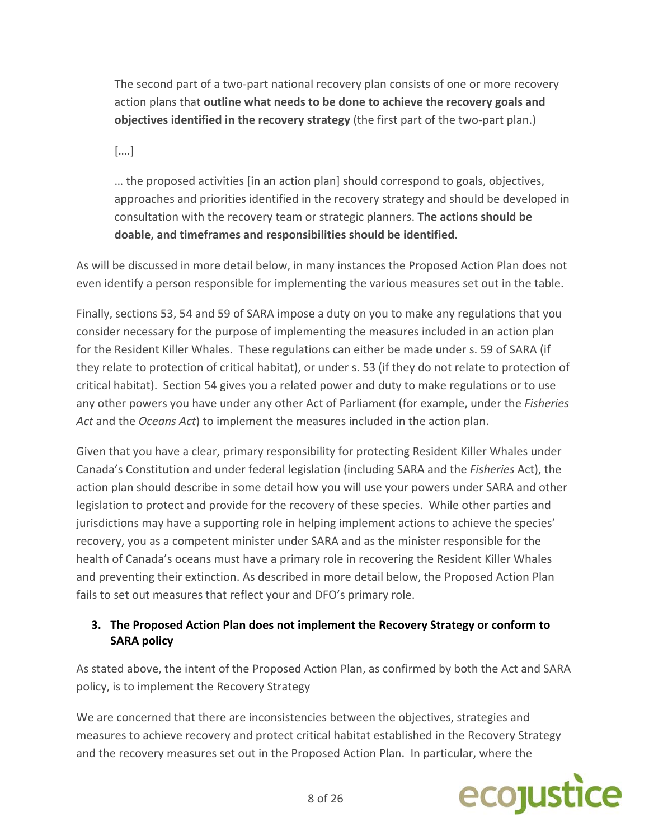The second part of a two-part national recovery plan consists of one or more recovery action plans that **outline what needs to be done to achieve the recovery goals and objectives identified in the recovery strategy** (the first part of the two‐part plan.)

[….]

… the proposed activities [in an action plan] should correspond to goals, objectives, approaches and priorities identified in the recovery strategy and should be developed in consultation with the recovery team or strategic planners. **The actions should be doable, and timeframes and responsibilities should be identified**.

As will be discussed in more detail below, in many instances the Proposed Action Plan does not even identify a person responsible for implementing the various measures set out in the table.

Finally, sections 53, 54 and 59 of SARA impose a duty on you to make any regulations that you consider necessary for the purpose of implementing the measures included in an action plan for the Resident Killer Whales. These regulations can either be made under s. 59 of SARA (if they relate to protection of critical habitat), or under s. 53 (if they do not relate to protection of critical habitat). Section 54 gives you a related power and duty to make regulations or to use any other powers you have under any other Act of Parliament (for example, under the *Fisheries Act* and the *Oceans Act*) to implement the measures included in the action plan.

Given that you have a clear, primary responsibility for protecting Resident Killer Whales under Canada's Constitution and under federal legislation (including SARA and the *Fisheries* Act), the action plan should describe in some detail how you will use your powers under SARA and other legislation to protect and provide for the recovery of these species. While other parties and jurisdictions may have a supporting role in helping implement actions to achieve the species' recovery, you as a competent minister under SARA and as the minister responsible for the health of Canada's oceans must have a primary role in recovering the Resident Killer Whales and preventing their extinction. As described in more detail below, the Proposed Action Plan fails to set out measures that reflect your and DFO's primary role.

# **3. The Proposed Action Plan does not implement the Recovery Strategy or conform to SARA policy**

As stated above, the intent of the Proposed Action Plan, as confirmed by both the Act and SARA policy, is to implement the Recovery Strategy

We are concerned that there are inconsistencies between the objectives, strategies and measures to achieve recovery and protect critical habitat established in the Recovery Strategy and the recovery measures set out in the Proposed Action Plan. In particular, where the

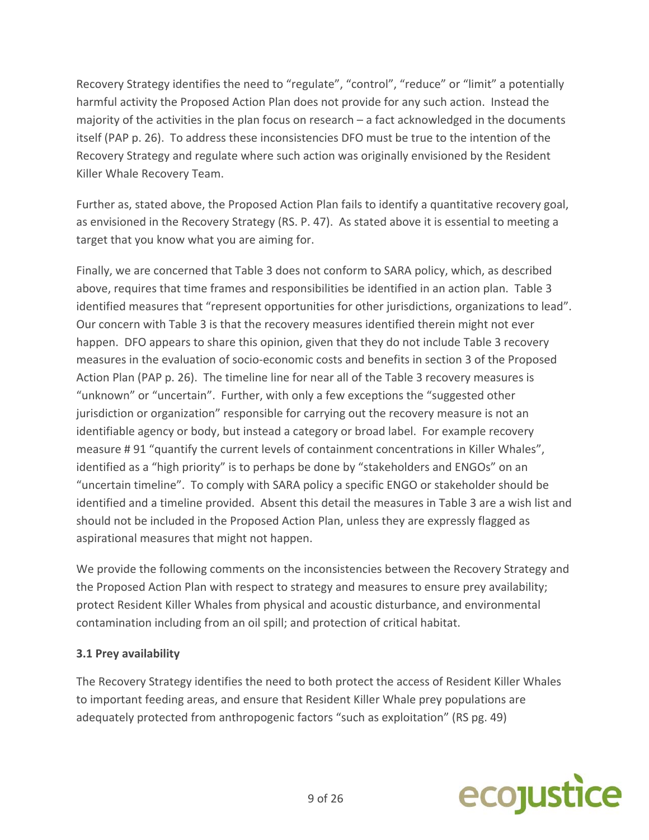Recovery Strategy identifies the need to "regulate", "control", "reduce" or "limit" a potentially harmful activity the Proposed Action Plan does not provide for any such action. Instead the majority of the activities in the plan focus on research – a fact acknowledged in the documents itself (PAP p. 26). To address these inconsistencies DFO must be true to the intention of the Recovery Strategy and regulate where such action was originally envisioned by the Resident Killer Whale Recovery Team.

Further as, stated above, the Proposed Action Plan fails to identify a quantitative recovery goal, as envisioned in the Recovery Strategy (RS. P. 47). As stated above it is essential to meeting a target that you know what you are aiming for.

Finally, we are concerned that Table 3 does not conform to SARA policy, which, as described above, requires that time frames and responsibilities be identified in an action plan. Table 3 identified measures that "represent opportunities for other jurisdictions, organizations to lead". Our concern with Table 3 is that the recovery measures identified therein might not ever happen. DFO appears to share this opinion, given that they do not include Table 3 recovery measures in the evaluation of socio‐economic costs and benefits in section 3 of the Proposed Action Plan (PAP p. 26). The timeline line for near all of the Table 3 recovery measures is "unknown" or "uncertain". Further, with only a few exceptions the "suggested other jurisdiction or organization" responsible for carrying out the recovery measure is not an identifiable agency or body, but instead a category or broad label. For example recovery measure # 91 "quantify the current levels of containment concentrations in Killer Whales", identified as a "high priority" is to perhaps be done by "stakeholders and ENGOs" on an "uncertain timeline". To comply with SARA policy a specific ENGO or stakeholder should be identified and a timeline provided. Absent this detail the measures in Table 3 are a wish list and should not be included in the Proposed Action Plan, unless they are expressly flagged as aspirational measures that might not happen.

We provide the following comments on the inconsistencies between the Recovery Strategy and the Proposed Action Plan with respect to strategy and measures to ensure prey availability; protect Resident Killer Whales from physical and acoustic disturbance, and environmental contamination including from an oil spill; and protection of critical habitat.

#### **3.1 Prey availability**

The Recovery Strategy identifies the need to both protect the access of Resident Killer Whales to important feeding areas, and ensure that Resident Killer Whale prey populations are adequately protected from anthropogenic factors "such as exploitation" (RS pg. 49)

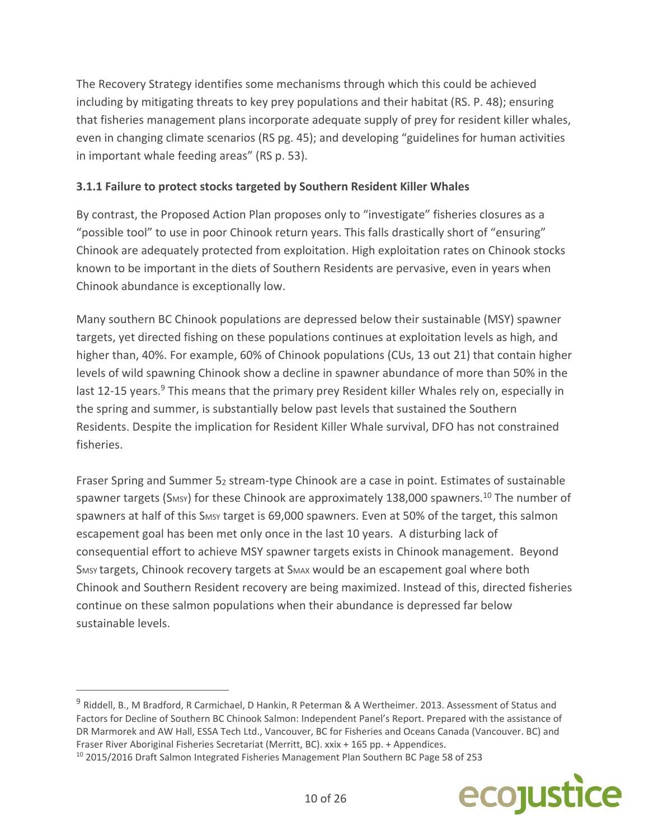The Recovery Strategy identifies some mechanisms through which this could be achieved including by mitigating threats to key prey populations and their habitat (RS. P. 48); ensuring that fisheries management plans incorporate adequate supply of prey for resident killer whales, even in changing climate scenarios (RS pg. 45); and developing "guidelines for human activities in important whale feeding areas" (RS p. 53).

### **3.1.1 Failure to protect stocks targeted by Southern Resident Killer Whales**

By contrast, the Proposed Action Plan proposes only to "investigate" fisheries closures as a "possible tool" to use in poor Chinook return years. This falls drastically short of "ensuring" Chinook are adequately protected from exploitation. High exploitation rates on Chinook stocks known to be important in the diets of Southern Residents are pervasive, even in years when Chinook abundance is exceptionally low.

Many southern BC Chinook populations are depressed below their sustainable (MSY) spawner targets, yet directed fishing on these populations continues at exploitation levels as high, and higher than, 40%. For example, 60% of Chinook populations (CUs, 13 out 21) that contain higher levels of wild spawning Chinook show a decline in spawner abundance of more than 50% in the last 12-15 years.<sup>9</sup> This means that the primary prey Resident killer Whales rely on, especially in the spring and summer, is substantially below past levels that sustained the Southern Residents. Despite the implication for Resident Killer Whale survival, DFO has not constrained fisheries.

Fraser Spring and Summer 52 stream-type Chinook are a case in point. Estimates of sustainable spawner targets (S<sub>MSY</sub>) for these Chinook are approximately 138,000 spawners.<sup>10</sup> The number of spawners at half of this S<sub>MSY</sub> target is 69,000 spawners. Even at 50% of the target, this salmon escapement goal has been met only once in the last 10 years. A disturbing lack of consequential effort to achieve MSY spawner targets exists in Chinook management. Beyond SMSY targets, Chinook recovery targets at SMAX would be an escapement goal where both Chinook and Southern Resident recovery are being maximized. Instead of this, directed fisheries continue on these salmon populations when their abundance is depressed far below sustainable levels.



<sup>&</sup>lt;sup>9</sup> Riddell, B., M Bradford, R Carmichael, D Hankin, R Peterman & A Wertheimer. 2013. Assessment of Status and Factors for Decline of Southern BC Chinook Salmon: Independent Panel's Report. Prepared with the assistance of DR Marmorek and AW Hall, ESSA Tech Ltd., Vancouver, BC for Fisheries and Oceans Canada (Vancouver. BC) and Fraser River Aboriginal Fisheries Secretariat (Merritt, BC). xxix + 165 pp. + Appendices.

<sup>&</sup>lt;sup>10</sup> 2015/2016 Draft Salmon Integrated Fisheries Management Plan Southern BC Page 58 of 253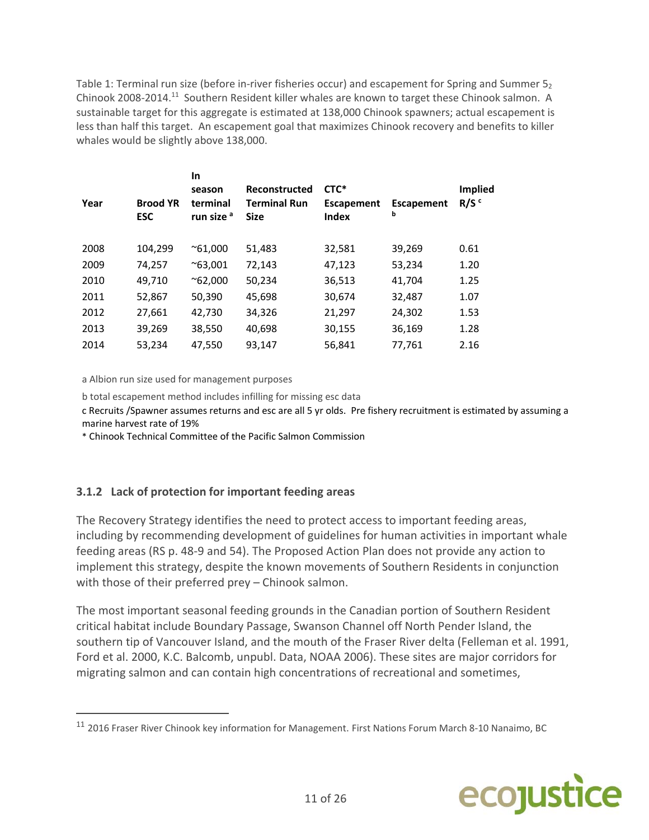Table 1: Terminal run size (before in-river fisheries occur) and escapement for Spring and Summer  $5<sub>2</sub>$ Chinook 2008‐2014.11 Southern Resident killer whales are known to target these Chinook salmon. A sustainable target for this aggregate is estimated at 138,000 Chinook spawners; actual escapement is less than half this target. An escapement goal that maximizes Chinook recovery and benefits to killer whales would be slightly above 138,000.

| Year | <b>Brood YR</b><br><b>ESC</b> | In<br>season<br>terminal<br>run size <sup>a</sup> | <b>Reconstructed</b><br><b>Terminal Run</b><br><b>Size</b> | CTC*<br>Escapement<br><b>Index</b> | <b>Escapement</b><br>b | <b>Implied</b><br>R/S <sup>c</sup> |
|------|-------------------------------|---------------------------------------------------|------------------------------------------------------------|------------------------------------|------------------------|------------------------------------|
| 2008 | 104,299                       | $^{\sim}61,000$                                   | 51,483                                                     | 32,581                             | 39,269                 | 0.61                               |
| 2009 | 74,257                        | $^{\sim}63,001$                                   | 72,143                                                     | 47,123                             | 53,234                 | 1.20                               |
| 2010 | 49,710                        | $^{\sim}62,000$                                   | 50,234                                                     | 36,513                             | 41,704                 | 1.25                               |
| 2011 | 52,867                        | 50,390                                            | 45,698                                                     | 30,674                             | 32,487                 | 1.07                               |
| 2012 | 27,661                        | 42,730                                            | 34,326                                                     | 21,297                             | 24,302                 | 1.53                               |
| 2013 | 39,269                        | 38,550                                            | 40,698                                                     | 30,155                             | 36,169                 | 1.28                               |
| 2014 | 53,234                        | 47,550                                            | 93,147                                                     | 56,841                             | 77,761                 | 2.16                               |
|      |                               |                                                   |                                                            |                                    |                        |                                    |

a Albion run size used for management purposes

b total escapement method includes infilling for missing esc data

c Recruits /Spawner assumes returns and esc are all 5 yr olds. Pre fishery recruitment is estimated by assuming a marine harvest rate of 19%

\* Chinook Technical Committee of the Pacific Salmon Commission

#### **3.1.2 Lack of protection for important feeding areas**

The Recovery Strategy identifies the need to protect access to important feeding areas, including by recommending development of guidelines for human activities in important whale feeding areas (RS p. 48‐9 and 54). The Proposed Action Plan does not provide any action to implement this strategy, despite the known movements of Southern Residents in conjunction with those of their preferred prey – Chinook salmon.

The most important seasonal feeding grounds in the Canadian portion of Southern Resident critical habitat include Boundary Passage, Swanson Channel off North Pender Island, the southern tip of Vancouver Island, and the mouth of the Fraser River delta (Felleman et al. 1991, Ford et al. 2000, K.C. Balcomb, unpubl. Data, NOAA 2006). These sites are major corridors for migrating salmon and can contain high concentrations of recreational and sometimes,

<sup>&</sup>lt;sup>11</sup> 2016 Fraser River Chinook key information for Management. First Nations Forum March 8-10 Nanaimo, BC

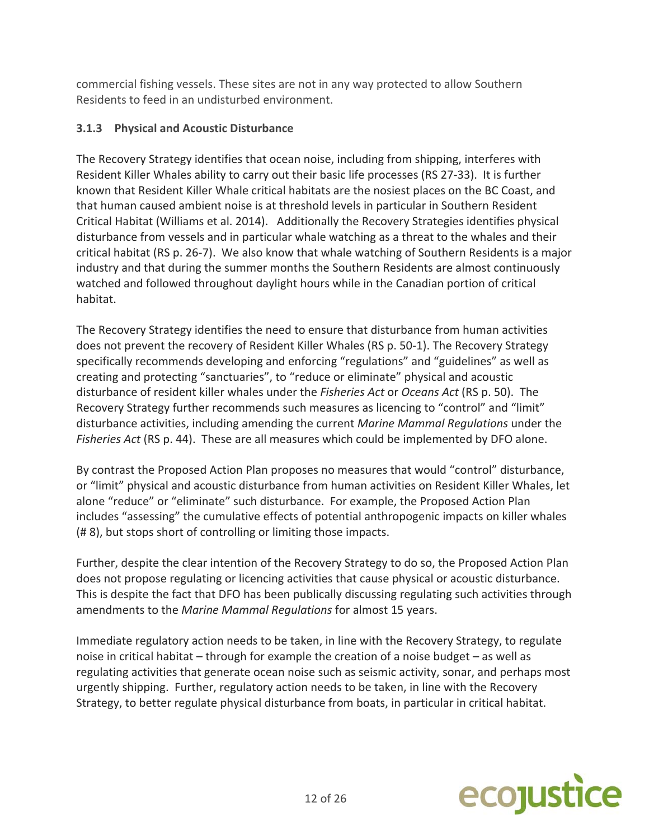commercial fishing vessels. These sites are not in any way protected to allow Southern Residents to feed in an undisturbed environment.

## **3.1.3 Physical and Acoustic Disturbance**

The Recovery Strategy identifies that ocean noise, including from shipping, interferes with Resident Killer Whales ability to carry out their basic life processes (RS 27‐33). It is further known that Resident Killer Whale critical habitats are the nosiest places on the BC Coast, and that human caused ambient noise is at threshold levels in particular in Southern Resident Critical Habitat (Williams et al. 2014). Additionally the Recovery Strategies identifies physical disturbance from vessels and in particular whale watching as a threat to the whales and their critical habitat (RS p. 26‐7). We also know that whale watching of Southern Residents is a major industry and that during the summer months the Southern Residents are almost continuously watched and followed throughout daylight hours while in the Canadian portion of critical habitat.

The Recovery Strategy identifies the need to ensure that disturbance from human activities does not prevent the recovery of Resident Killer Whales (RS p. 50‐1). The Recovery Strategy specifically recommends developing and enforcing "regulations" and "guidelines" as well as creating and protecting "sanctuaries", to "reduce or eliminate" physical and acoustic disturbance of resident killer whales under the *Fisheries Act* or *Oceans Act* (RS p. 50). The Recovery Strategy further recommends such measures as licencing to "control" and "limit" disturbance activities, including amending the current *Marine Mammal Regulations* under the *Fisheries Act* (RS p. 44). These are all measures which could be implemented by DFO alone.

By contrast the Proposed Action Plan proposes no measures that would "control" disturbance, or "limit" physical and acoustic disturbance from human activities on Resident Killer Whales, let alone "reduce" or "eliminate" such disturbance. For example, the Proposed Action Plan includes "assessing" the cumulative effects of potential anthropogenic impacts on killer whales (# 8), but stops short of controlling or limiting those impacts.

Further, despite the clear intention of the Recovery Strategy to do so, the Proposed Action Plan does not propose regulating or licencing activities that cause physical or acoustic disturbance. This is despite the fact that DFO has been publically discussing regulating such activities through amendments to the *Marine Mammal Regulations* for almost 15 years.

Immediate regulatory action needs to be taken, in line with the Recovery Strategy, to regulate noise in critical habitat – through for example the creation of a noise budget – as well as regulating activities that generate ocean noise such as seismic activity, sonar, and perhaps most urgently shipping. Further, regulatory action needs to be taken, in line with the Recovery Strategy, to better regulate physical disturbance from boats, in particular in critical habitat.

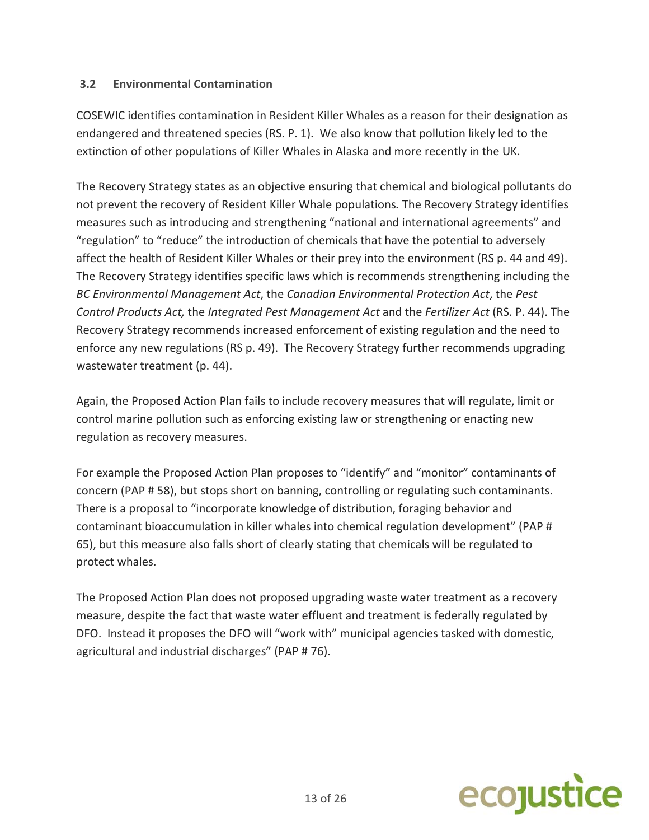#### **3.2 Environmental Contamination**

COSEWIC identifies contamination in Resident Killer Whales as a reason for their designation as endangered and threatened species (RS. P. 1). We also know that pollution likely led to the extinction of other populations of Killer Whales in Alaska and more recently in the UK.

The Recovery Strategy states as an objective ensuring that chemical and biological pollutants do not prevent the recovery of Resident Killer Whale populations*.* The Recovery Strategy identifies measures such as introducing and strengthening "national and international agreements" and "regulation" to "reduce" the introduction of chemicals that have the potential to adversely affect the health of Resident Killer Whales or their prey into the environment (RS p. 44 and 49). The Recovery Strategy identifies specific laws which is recommends strengthening including the *BC Environmental Management Act*, the *Canadian Environmental Protection Act*, the *Pest Control Products Act,* the *Integrated Pest Management Act* and the *Fertilizer Act* (RS. P. 44). The Recovery Strategy recommends increased enforcement of existing regulation and the need to enforce any new regulations (RS p. 49). The Recovery Strategy further recommends upgrading wastewater treatment (p. 44).

Again, the Proposed Action Plan fails to include recovery measures that will regulate, limit or control marine pollution such as enforcing existing law or strengthening or enacting new regulation as recovery measures.

For example the Proposed Action Plan proposes to "identify" and "monitor" contaminants of concern (PAP # 58), but stops short on banning, controlling or regulating such contaminants. There is a proposal to "incorporate knowledge of distribution, foraging behavior and contaminant bioaccumulation in killer whales into chemical regulation development" (PAP # 65), but this measure also falls short of clearly stating that chemicals will be regulated to protect whales.

The Proposed Action Plan does not proposed upgrading waste water treatment as a recovery measure, despite the fact that waste water effluent and treatment is federally regulated by DFO. Instead it proposes the DFO will "work with" municipal agencies tasked with domestic, agricultural and industrial discharges" (PAP # 76).

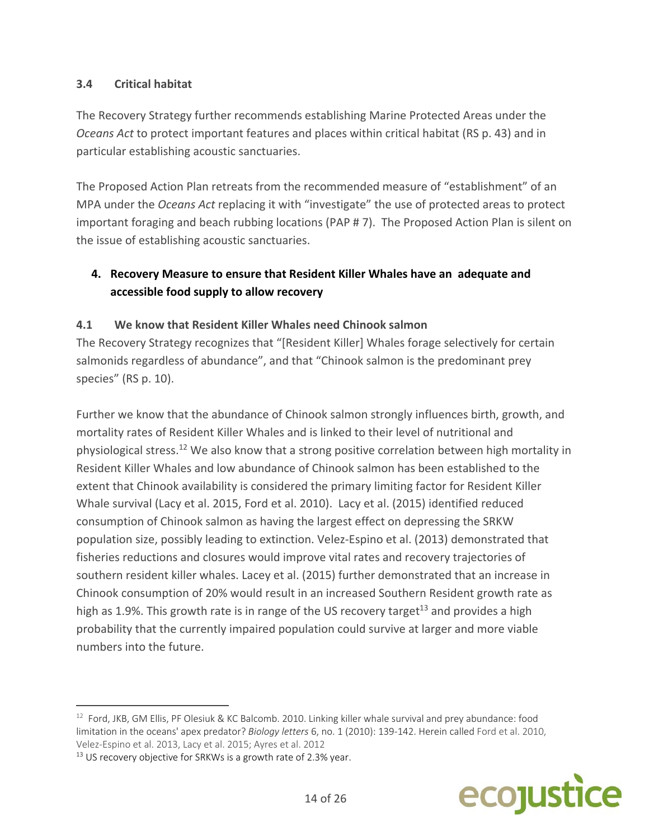### **3.4 Critical habitat**

The Recovery Strategy further recommends establishing Marine Protected Areas under the *Oceans Act* to protect important features and places within critical habitat (RS p. 43) and in particular establishing acoustic sanctuaries.

The Proposed Action Plan retreats from the recommended measure of "establishment" of an MPA under the *Oceans Act* replacing it with "investigate" the use of protected areas to protect important foraging and beach rubbing locations (PAP # 7). The Proposed Action Plan is silent on the issue of establishing acoustic sanctuaries.

# **4. Recovery Measure to ensure that Resident Killer Whales have an adequate and accessible food supply to allow recovery**

### **4.1 We know that Resident Killer Whales need Chinook salmon**

The Recovery Strategy recognizes that "[Resident Killer] Whales forage selectively for certain salmonids regardless of abundance", and that "Chinook salmon is the predominant prey species" (RS p. 10).

Further we know that the abundance of Chinook salmon strongly influences birth, growth, and mortality rates of Resident Killer Whales and is linked to their level of nutritional and physiological stress.12 We also know that a strong positive correlation between high mortality in Resident Killer Whales and low abundance of Chinook salmon has been established to the extent that Chinook availability is considered the primary limiting factor for Resident Killer Whale survival (Lacy et al. 2015, Ford et al. 2010). Lacy et al. (2015) identified reduced consumption of Chinook salmon as having the largest effect on depressing the SRKW population size, possibly leading to extinction. Velez‐Espino et al. (2013) demonstrated that fisheries reductions and closures would improve vital rates and recovery trajectories of southern resident killer whales. Lacey et al. (2015) further demonstrated that an increase in Chinook consumption of 20% would result in an increased Southern Resident growth rate as high as 1.9%. This growth rate is in range of the US recovery target<sup>13</sup> and provides a high probability that the currently impaired population could survive at larger and more viable numbers into the future.



<sup>12</sup> Ford, JKB, GM Ellis, PF Olesiuk & KC Balcomb. 2010. Linking killer whale survival and prey abundance: food limitation in the oceans' apex predator? *Biology letters* 6, no. 1 (2010): 139-142. Herein called Ford et al. 2010, Velez‐Espino et al. 2013, Lacy et al. 2015; Ayres et al. 2012

<sup>&</sup>lt;sup>13</sup> US recovery objective for SRKWs is a growth rate of 2.3% year.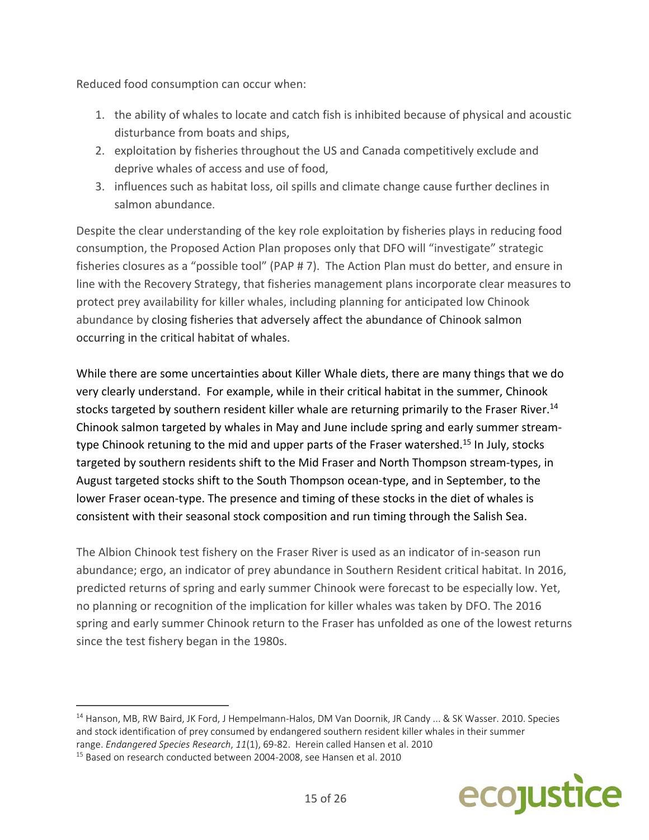Reduced food consumption can occur when:

- 1. the ability of whales to locate and catch fish is inhibited because of physical and acoustic disturbance from boats and ships,
- 2. exploitation by fisheries throughout the US and Canada competitively exclude and deprive whales of access and use of food,
- 3. influences such as habitat loss, oil spills and climate change cause further declines in salmon abundance.

Despite the clear understanding of the key role exploitation by fisheries plays in reducing food consumption, the Proposed Action Plan proposes only that DFO will "investigate" strategic fisheries closures as a "possible tool" (PAP # 7). The Action Plan must do better, and ensure in line with the Recovery Strategy, that fisheries management plans incorporate clear measures to protect prey availability for killer whales, including planning for anticipated low Chinook abundance by closing fisheries that adversely affect the abundance of Chinook salmon occurring in the critical habitat of whales.

While there are some uncertainties about Killer Whale diets, there are many things that we do very clearly understand. For example, while in their critical habitat in the summer, Chinook stocks targeted by southern resident killer whale are returning primarily to the Fraser River.<sup>14</sup> Chinook salmon targeted by whales in May and June include spring and early summer stream‐ type Chinook retuning to the mid and upper parts of the Fraser watershed.<sup>15</sup> In July, stocks targeted by southern residents shift to the Mid Fraser and North Thompson stream‐types, in August targeted stocks shift to the South Thompson ocean‐type, and in September, to the lower Fraser ocean-type. The presence and timing of these stocks in the diet of whales is consistent with their seasonal stock composition and run timing through the Salish Sea.

The Albion Chinook test fishery on the Fraser River is used as an indicator of in‐season run abundance; ergo, an indicator of prey abundance in Southern Resident critical habitat. In 2016, predicted returns of spring and early summer Chinook were forecast to be especially low. Yet, no planning or recognition of the implication for killer whales was taken by DFO. The 2016 spring and early summer Chinook return to the Fraser has unfolded as one of the lowest returns since the test fishery began in the 1980s.



<sup>14</sup> Hanson, MB, RW Baird, JK Ford, J Hempelmann-Halos, DM Van Doornik, JR Candy ... & SK Wasser. 2010. Species and stock identification of prey consumed by endangered southern resident killer whales in their summer range. *Endangered Species Research*, *11*(1), 69‐82. Herein called Hansen et al. 2010

<sup>15</sup> Based on research conducted between 2004‐2008, see Hansen et al. 2010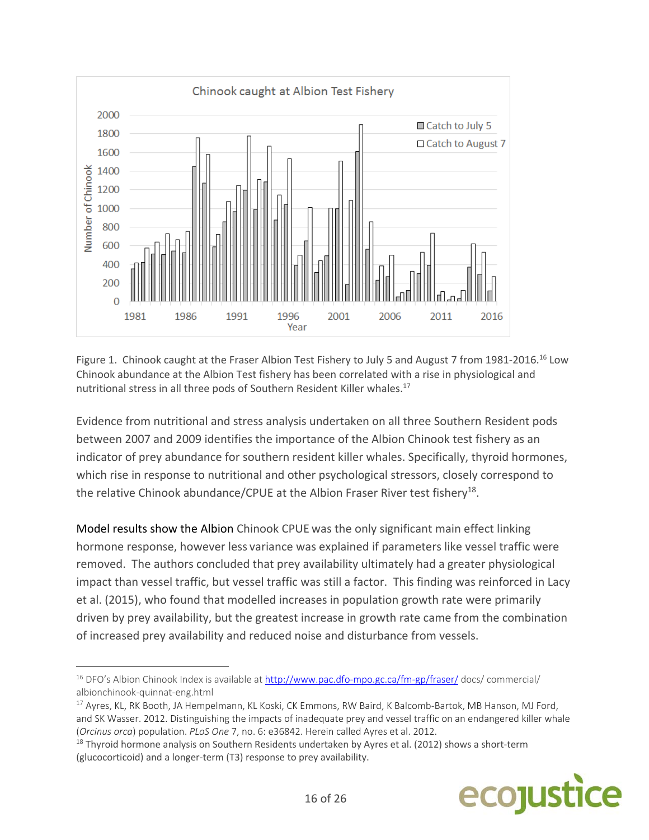

Figure 1. Chinook caught at the Fraser Albion Test Fishery to July 5 and August 7 from 1981-2016.<sup>16</sup> Low Chinook abundance at the Albion Test fishery has been correlated with a rise in physiological and nutritional stress in all three pods of Southern Resident Killer whales.<sup>17</sup>

Evidence from nutritional and stress analysis undertaken on all three Southern Resident pods between 2007 and 2009 identifies the importance of the Albion Chinook test fishery as an indicator of prey abundance for southern resident killer whales. Specifically, thyroid hormones, which rise in response to nutritional and other psychological stressors, closely correspond to the relative Chinook abundance/CPUE at the Albion Fraser River test fishery<sup>18</sup>.

Model results show the Albion Chinook CPUE was the only significant main effect linking hormone response, however less variance was explained if parameters like vessel traffic were removed. The authors concluded that prey availability ultimately had a greater physiological impact than vessel traffic, but vessel traffic was still a factor. This finding was reinforced in Lacy et al. (2015), who found that modelled increases in population growth rate were primarily driven by prey availability, but the greatest increase in growth rate came from the combination of increased prey availability and reduced noise and disturbance from vessels.

<sup>&</sup>lt;sup>18</sup> Thyroid hormone analysis on Southern Residents undertaken by Ayres et al. (2012) shows a short-term (glucocorticoid) and a longer‐term (T3) response to prey availability.



 <sup>16</sup> DFO's Albion Chinook Index is available at http://www.pac.dfo-mpo.gc.ca/fm-gp/fraser/ docs/ commercial/ albionchinook‐quinnat‐eng.html

<sup>&</sup>lt;sup>17</sup> Ayres, KL, RK Booth, JA Hempelmann, KL Koski, CK Emmons, RW Baird, K Balcomb-Bartok, MB Hanson, MJ Ford, and SK Wasser. 2012. Distinguishing the impacts of inadequate prey and vessel traffic on an endangered killer whale (*Orcinus orca*) population. *PLoS One* 7, no. 6: e36842. Herein called Ayres et al. 2012.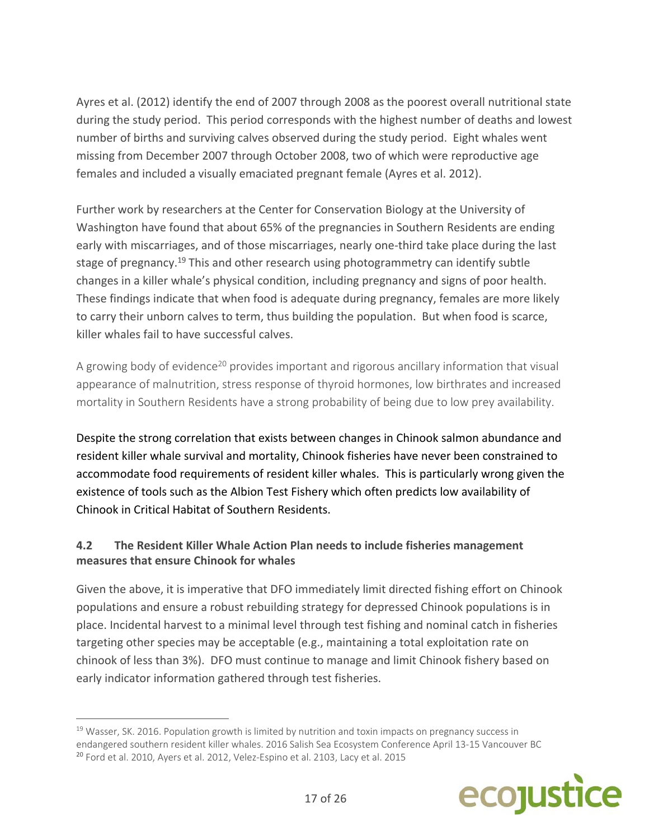Ayres et al. (2012) identify the end of 2007 through 2008 as the poorest overall nutritional state during the study period. This period corresponds with the highest number of deaths and lowest number of births and surviving calves observed during the study period. Eight whales went missing from December 2007 through October 2008, two of which were reproductive age females and included a visually emaciated pregnant female (Ayres et al. 2012).

Further work by researchers at the Center for Conservation Biology at the University of Washington have found that about 65% of the pregnancies in Southern Residents are ending early with miscarriages, and of those miscarriages, nearly one-third take place during the last stage of pregnancy.<sup>19</sup> This and other research using photogrammetry can identify subtle changes in a killer whale's physical condition, including pregnancy and signs of poor health. These findings indicate that when food is adequate during pregnancy, females are more likely to carry their unborn calves to term, thus building the population. But when food is scarce, killer whales fail to have successful calves.

A growing body of evidence<sup>20</sup> provides important and rigorous ancillary information that visual appearance of malnutrition, stress response of thyroid hormones, low birthrates and increased mortality in Southern Residents have a strong probability of being due to low prey availability.

Despite the strong correlation that exists between changes in Chinook salmon abundance and resident killer whale survival and mortality, Chinook fisheries have never been constrained to accommodate food requirements of resident killer whales. This is particularly wrong given the existence of tools such as the Albion Test Fishery which often predicts low availability of Chinook in Critical Habitat of Southern Residents.

## **4.2 The Resident Killer Whale Action Plan needs to include fisheries management measures that ensure Chinook for whales**

Given the above, it is imperative that DFO immediately limit directed fishing effort on Chinook populations and ensure a robust rebuilding strategy for depressed Chinook populations is in place. Incidental harvest to a minimal level through test fishing and nominal catch in fisheries targeting other species may be acceptable (e.g., maintaining a total exploitation rate on chinook of less than 3%). DFO must continue to manage and limit Chinook fishery based on early indicator information gathered through test fisheries.



 $19$  Wasser, SK. 2016. Population growth is limited by nutrition and toxin impacts on pregnancy success in endangered southern resident killer whales. 2016 Salish Sea Ecosystem Conference April 13‐15 Vancouver BC <sup>20</sup> Ford et al. 2010, Ayers et al. 2012, Velez-Espino et al. 2103, Lacy et al. 2015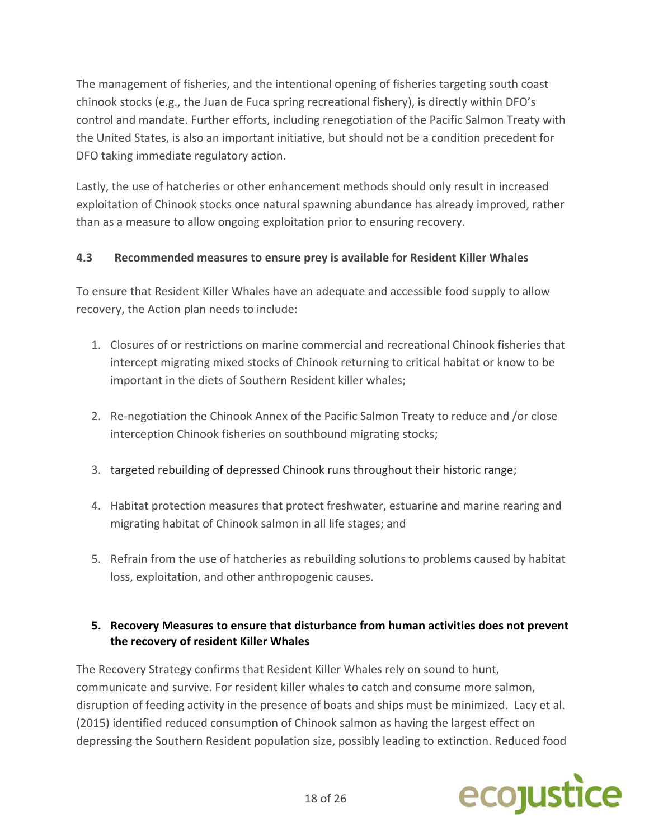The management of fisheries, and the intentional opening of fisheries targeting south coast chinook stocks (e.g., the Juan de Fuca spring recreational fishery), is directly within DFO's control and mandate. Further efforts, including renegotiation of the Pacific Salmon Treaty with the United States, is also an important initiative, but should not be a condition precedent for DFO taking immediate regulatory action.

Lastly, the use of hatcheries or other enhancement methods should only result in increased exploitation of Chinook stocks once natural spawning abundance has already improved, rather than as a measure to allow ongoing exploitation prior to ensuring recovery.

## **4.3 Recommended measures to ensure prey is available for Resident Killer Whales**

To ensure that Resident Killer Whales have an adequate and accessible food supply to allow recovery, the Action plan needs to include:

- 1. Closures of or restrictions on marine commercial and recreational Chinook fisheries that intercept migrating mixed stocks of Chinook returning to critical habitat or know to be important in the diets of Southern Resident killer whales;
- 2. Re-negotiation the Chinook Annex of the Pacific Salmon Treaty to reduce and /or close interception Chinook fisheries on southbound migrating stocks;
- 3. targeted rebuilding of depressed Chinook runs throughout their historic range;
- 4. Habitat protection measures that protect freshwater, estuarine and marine rearing and migrating habitat of Chinook salmon in all life stages; and
- 5. Refrain from the use of hatcheries as rebuilding solutions to problems caused by habitat loss, exploitation, and other anthropogenic causes.

### **5. Recovery Measures to ensure that disturbance from human activities does not prevent the recovery of resident Killer Whales**

The Recovery Strategy confirms that Resident Killer Whales rely on sound to hunt, communicate and survive. For resident killer whales to catch and consume more salmon, disruption of feeding activity in the presence of boats and ships must be minimized. Lacy et al. (2015) identified reduced consumption of Chinook salmon as having the largest effect on depressing the Southern Resident population size, possibly leading to extinction. Reduced food

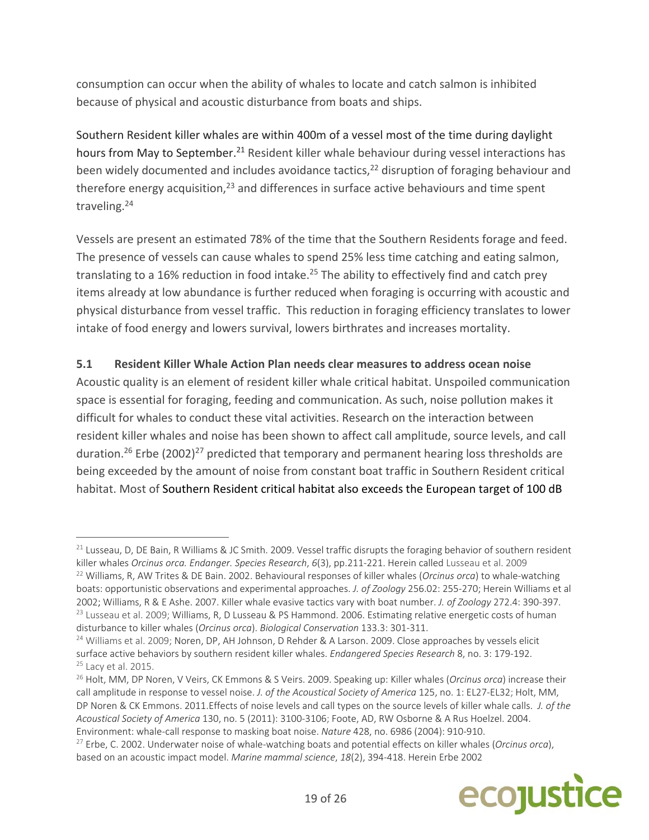consumption can occur when the ability of whales to locate and catch salmon is inhibited because of physical and acoustic disturbance from boats and ships.

Southern Resident killer whales are within 400m of a vessel most of the time during daylight hours from May to September.<sup>21</sup> Resident killer whale behaviour during vessel interactions has been widely documented and includes avoidance tactics, $22$  disruption of foraging behaviour and therefore energy acquisition, $^{23}$  and differences in surface active behaviours and time spent traveling.24

Vessels are present an estimated 78% of the time that the Southern Residents forage and feed. The presence of vessels can cause whales to spend 25% less time catching and eating salmon, translating to a 16% reduction in food intake.<sup>25</sup> The ability to effectively find and catch prey items already at low abundance is further reduced when foraging is occurring with acoustic and physical disturbance from vessel traffic. This reduction in foraging efficiency translates to lower intake of food energy and lowers survival, lowers birthrates and increases mortality.

## **5.1 Resident Killer Whale Action Plan needs clear measures to address ocean noise**

Acoustic quality is an element of resident killer whale critical habitat. Unspoiled communication space is essential for foraging, feeding and communication. As such, noise pollution makes it difficult for whales to conduct these vital activities. Research on the interaction between resident killer whales and noise has been shown to affect call amplitude, source levels, and call duration.<sup>26</sup> Erbe (2002)<sup>27</sup> predicted that temporary and permanent hearing loss thresholds are being exceeded by the amount of noise from constant boat traffic in Southern Resident critical habitat. Most of Southern Resident critical habitat also exceeds the European target of 100 dB

<sup>27</sup> Erbe, C. 2002. Underwater noise of whale‐watching boats and potential effects on killer whales (*Orcinus orca*), based on an acoustic impact model. *Marine mammal science*, *18*(2), 394‐418. Herein Erbe 2002



 $21$  Lusseau, D, DE Bain, R Williams & JC Smith. 2009. Vessel traffic disrupts the foraging behavior of southern resident killer whales *Orcinus orca. Endanger. Species Research*, *6*(3), pp.211‐221. Herein called Lusseau et al. 2009 <sup>22</sup> Williams, R, AW Trites & DE Bain. 2002. Behavioural responses of killer whales (*Orcinus orca*) to whale‐watching boats: opportunistic observations and experimental approaches. *J. of Zoology* 256.02: 255‐270; Herein Williams et al 2002; Williams, R & E Ashe. 2007. Killer whale evasive tactics vary with boat number. *J. of Zoology* 272.4: 390‐397.

<sup>&</sup>lt;sup>23</sup> Lusseau et al. 2009; Williams, R, D Lusseau & PS Hammond. 2006. Estimating relative energetic costs of human disturbance to killer whales (*Orcinus orca*). *Biological Conservation* 133.3: 301‐311.

<sup>&</sup>lt;sup>24</sup> Williams et al. 2009; Noren, DP, AH Johnson, D Rehder & A Larson. 2009. Close approaches by vessels elicit surface active behaviors by southern resident killer whales. *Endangered Species Research* 8, no. 3: 179‐192. <sup>25</sup> Lacy et al. 2015.

<sup>26</sup> Holt, MM, DP Noren, V Veirs, CK Emmons & S Veirs. 2009. Speaking up: Killer whales (*Orcinus orca*) increase their call amplitude in response to vessel noise. *J. of the Acoustical Society of America* 125, no. 1: EL27‐EL32; Holt, MM, DP Noren & CK Emmons. 2011.Effects of noise levels and call types on the source levels of killer whale calls.  *J. of the Acoustical Society of America* 130, no. 5 (2011): 3100‐3106; Foote, AD, RW Osborne & A Rus Hoelzel. 2004. Environment: whale‐call response to masking boat noise. *Nature* 428, no. 6986 (2004): 910‐910.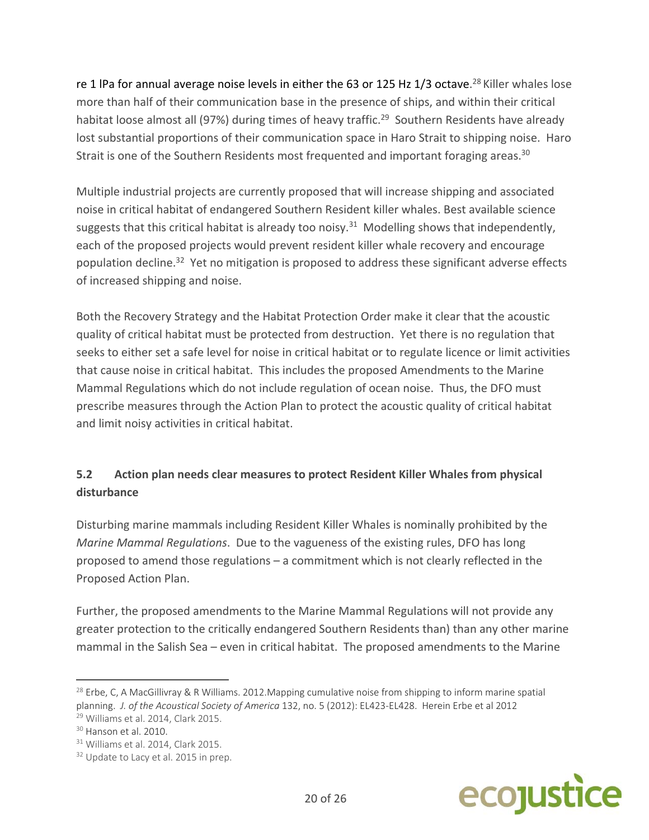re 1 IPa for annual average noise levels in either the 63 or 125 Hz 1/3 octave.<sup>28</sup> Killer whales lose more than half of their communication base in the presence of ships, and within their critical habitat loose almost all (97%) during times of heavy traffic.<sup>29</sup> Southern Residents have already lost substantial proportions of their communication space in Haro Strait to shipping noise. Haro Strait is one of the Southern Residents most frequented and important foraging areas.<sup>30</sup>

Multiple industrial projects are currently proposed that will increase shipping and associated noise in critical habitat of endangered Southern Resident killer whales. Best available science suggests that this critical habitat is already too noisy. $31$  Modelling shows that independently, each of the proposed projects would prevent resident killer whale recovery and encourage population decline.<sup>32</sup> Yet no mitigation is proposed to address these significant adverse effects of increased shipping and noise.

Both the Recovery Strategy and the Habitat Protection Order make it clear that the acoustic quality of critical habitat must be protected from destruction. Yet there is no regulation that seeks to either set a safe level for noise in critical habitat or to regulate licence or limit activities that cause noise in critical habitat. This includes the proposed Amendments to the Marine Mammal Regulations which do not include regulation of ocean noise. Thus, the DFO must prescribe measures through the Action Plan to protect the acoustic quality of critical habitat and limit noisy activities in critical habitat.

# **5.2 Action plan needs clear measures to protect Resident Killer Whales from physical disturbance**

Disturbing marine mammals including Resident Killer Whales is nominally prohibited by the *Marine Mammal Regulations*. Due to the vagueness of the existing rules, DFO has long proposed to amend those regulations – a commitment which is not clearly reflected in the Proposed Action Plan.

Further, the proposed amendments to the Marine Mammal Regulations will not provide any greater protection to the critically endangered Southern Residents than) than any other marine mammal in the Salish Sea – even in critical habitat. The proposed amendments to the Marine



 $^{28}$  Erbe, C, A MacGillivray & R Williams. 2012. Mapping cumulative noise from shipping to inform marine spatial planning.  *J. of the Acoustical Society of America* 132, no. 5 (2012): EL423‐EL428. Herein Erbe et al 2012

<sup>29</sup> Williams et al. 2014, Clark 2015.

 $30$  Hanson et al. 2010.

<sup>&</sup>lt;sup>31</sup> Williams et al. 2014, Clark 2015.

<sup>&</sup>lt;sup>32</sup> Update to Lacy et al. 2015 in prep.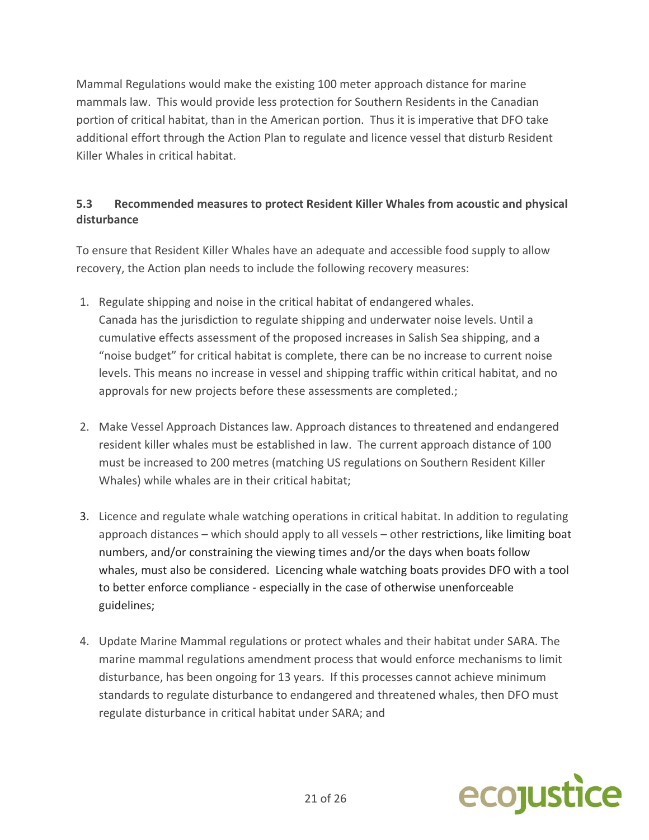Mammal Regulations would make the existing 100 meter approach distance for marine mammals law. This would provide less protection for Southern Residents in the Canadian portion of critical habitat, than in the American portion. Thus it is imperative that DFO take additional effort through the Action Plan to regulate and licence vessel that disturb Resident Killer Whales in critical habitat.

## **5.3 Recommended measures to protect Resident Killer Whales from acoustic and physical disturbance**

To ensure that Resident Killer Whales have an adequate and accessible food supply to allow recovery, the Action plan needs to include the following recovery measures:

- 1. Regulate shipping and noise in the critical habitat of endangered whales. Canada has the jurisdiction to regulate shipping and underwater noise levels. Until a cumulative effects assessment of the proposed increases in Salish Sea shipping, and a "noise budget" for critical habitat is complete, there can be no increase to current noise levels. This means no increase in vessel and shipping traffic within critical habitat, and no approvals for new projects before these assessments are completed.;
- 2. Make Vessel Approach Distances law. Approach distances to threatened and endangered resident killer whales must be established in law. The current approach distance of 100 must be increased to 200 metres (matching US regulations on Southern Resident Killer Whales) while whales are in their critical habitat;
- 3. Licence and regulate whale watching operations in critical habitat. In addition to regulating approach distances – which should apply to all vessels – other restrictions, like limiting boat numbers, and/or constraining the viewing times and/or the days when boats follow whales, must also be considered. Licencing whale watching boats provides DFO with a tool to better enforce compliance ‐ especially in the case of otherwise unenforceable guidelines;
- 4. Update Marine Mammal regulations or protect whales and their habitat under SARA. The marine mammal regulations amendment process that would enforce mechanisms to limit disturbance, has been ongoing for 13 years. If this processes cannot achieve minimum standards to regulate disturbance to endangered and threatened whales, then DFO must regulate disturbance in critical habitat under SARA; and

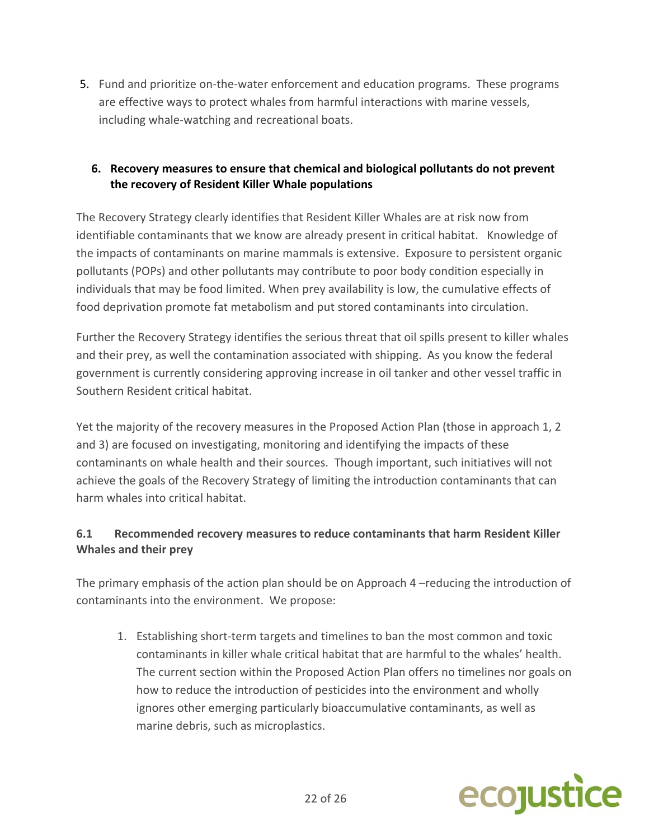5. Fund and prioritize on-the-water enforcement and education programs. These programs are effective ways to protect whales from harmful interactions with marine vessels, including whale‐watching and recreational boats.

## **6. Recovery measures to ensure that chemical and biological pollutants do not prevent the recovery of Resident Killer Whale populations**

The Recovery Strategy clearly identifies that Resident Killer Whales are at risk now from identifiable contaminants that we know are already present in critical habitat. Knowledge of the impacts of contaminants on marine mammals is extensive. Exposure to persistent organic pollutants (POPs) and other pollutants may contribute to poor body condition especially in individuals that may be food limited. When prey availability is low, the cumulative effects of food deprivation promote fat metabolism and put stored contaminants into circulation.

Further the Recovery Strategy identifies the serious threat that oil spills present to killer whales and their prey, as well the contamination associated with shipping. As you know the federal government is currently considering approving increase in oil tanker and other vessel traffic in Southern Resident critical habitat.

Yet the majority of the recovery measures in the Proposed Action Plan (those in approach 1, 2 and 3) are focused on investigating, monitoring and identifying the impacts of these contaminants on whale health and their sources. Though important, such initiatives will not achieve the goals of the Recovery Strategy of limiting the introduction contaminants that can harm whales into critical habitat.

# **6.1 Recommended recovery measures to reduce contaminants that harm Resident Killer Whales and their prey**

The primary emphasis of the action plan should be on Approach 4 –reducing the introduction of contaminants into the environment. We propose:

1. Establishing short-term targets and timelines to ban the most common and toxic contaminants in killer whale critical habitat that are harmful to the whales' health. The current section within the Proposed Action Plan offers no timelines nor goals on how to reduce the introduction of pesticides into the environment and wholly ignores other emerging particularly bioaccumulative contaminants, as well as marine debris, such as microplastics.

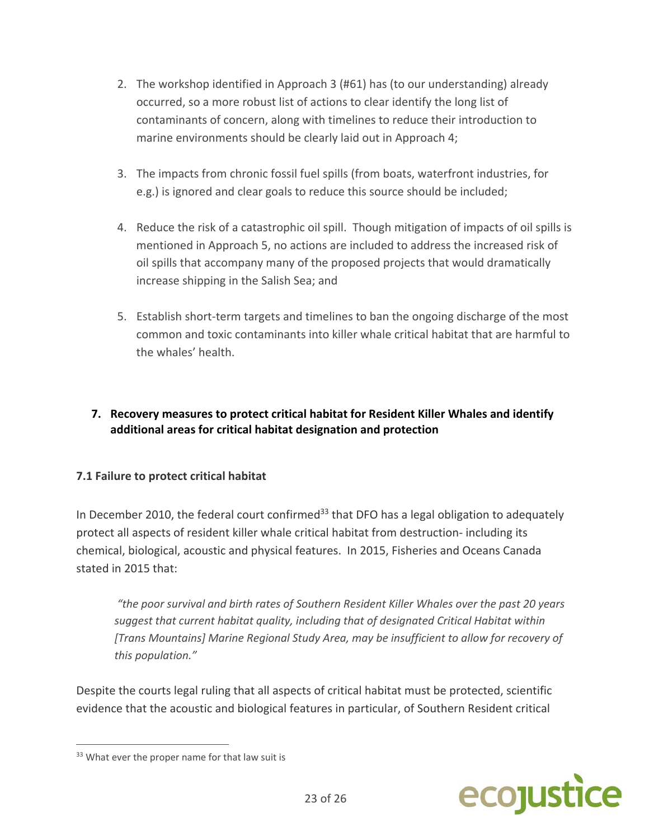- 2. The workshop identified in Approach 3 (#61) has (to our understanding) already occurred, so a more robust list of actions to clear identify the long list of contaminants of concern, along with timelines to reduce their introduction to marine environments should be clearly laid out in Approach 4;
- 3. The impacts from chronic fossil fuel spills (from boats, waterfront industries, for e.g.) is ignored and clear goals to reduce this source should be included;
- 4. Reduce the risk of a catastrophic oil spill. Though mitigation of impacts of oil spills is mentioned in Approach 5, no actions are included to address the increased risk of oil spills that accompany many of the proposed projects that would dramatically increase shipping in the Salish Sea; and
- 5. Establish short‐term targets and timelines to ban the ongoing discharge of the most common and toxic contaminants into killer whale critical habitat that are harmful to the whales' health.

## **7. Recovery measures to protect critical habitat for Resident Killer Whales and identify additional areas for critical habitat designation and protection**

## **7.1 Failure to protect critical habitat**

In December 2010, the federal court confirmed<sup>33</sup> that DFO has a legal obligation to adequately protect all aspects of resident killer whale critical habitat from destruction‐ including its chemical, biological, acoustic and physical features. In 2015, Fisheries and Oceans Canada stated in 2015 that:

*"the poor survival and birth rates of Southern Resident Killer Whales over the past 20 years suggest that current habitat quality, including that of designated Critical Habitat within [Trans Mountains] Marine Regional Study Area, may be insufficient to allow for recovery of this population."*

Despite the courts legal ruling that all aspects of critical habitat must be protected, scientific evidence that the acoustic and biological features in particular, of Southern Resident critical



<sup>&</sup>lt;sup>33</sup> What ever the proper name for that law suit is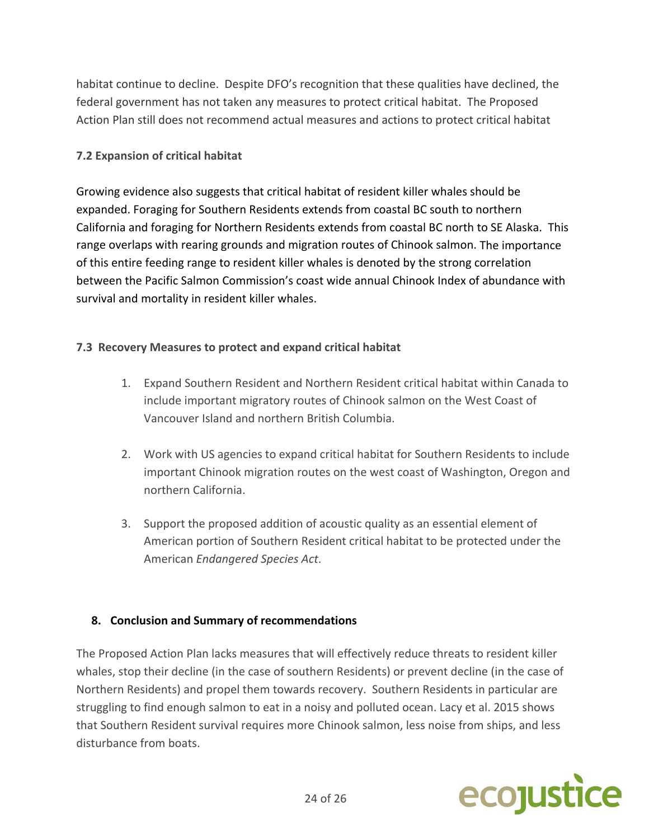habitat continue to decline. Despite DFO's recognition that these qualities have declined, the federal government has not taken any measures to protect critical habitat. The Proposed Action Plan still does not recommend actual measures and actions to protect critical habitat

### **7.2 Expansion of critical habitat**

Growing evidence also suggests that critical habitat of resident killer whales should be expanded. Foraging for Southern Residents extends from coastal BC south to northern California and foraging for Northern Residents extends from coastal BC north to SE Alaska. This range overlaps with rearing grounds and migration routes of Chinook salmon. The importance of this entire feeding range to resident killer whales is denoted by the strong correlation between the Pacific Salmon Commission's coast wide annual Chinook Index of abundance with survival and mortality in resident killer whales.

### **7.3 Recovery Measures to protect and expand critical habitat**

- 1. Expand Southern Resident and Northern Resident critical habitat within Canada to include important migratory routes of Chinook salmon on the West Coast of Vancouver Island and northern British Columbia.
- 2. Work with US agencies to expand critical habitat for Southern Residents to include important Chinook migration routes on the west coast of Washington, Oregon and northern California.
- 3. Support the proposed addition of acoustic quality as an essential element of American portion of Southern Resident critical habitat to be protected under the American *Endangered Species Act*.

#### **8. Conclusion and Summary of recommendations**

The Proposed Action Plan lacks measures that will effectively reduce threats to resident killer whales, stop their decline (in the case of southern Residents) or prevent decline (in the case of Northern Residents) and propel them towards recovery. Southern Residents in particular are struggling to find enough salmon to eat in a noisy and polluted ocean. Lacy et al. 2015 shows that Southern Resident survival requires more Chinook salmon, less noise from ships, and less disturbance from boats.

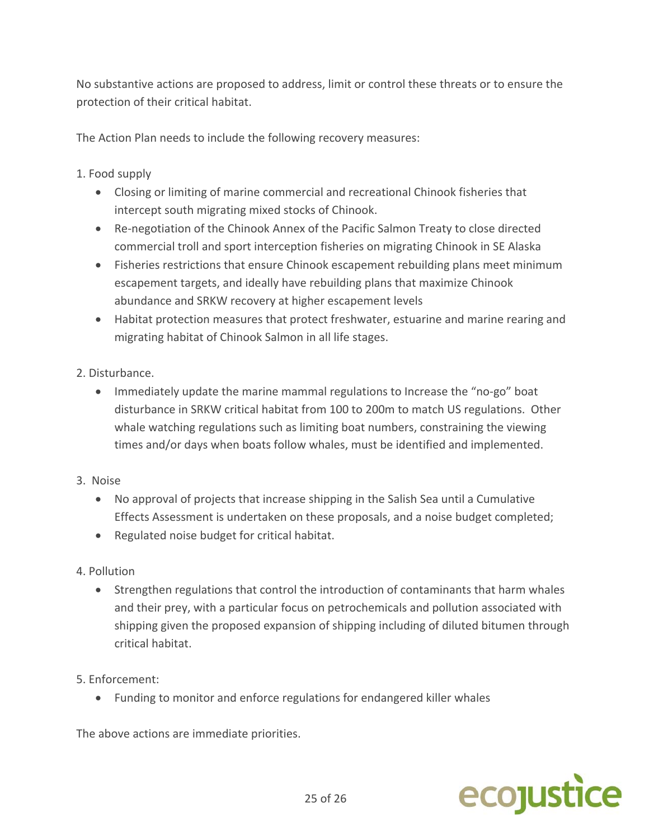No substantive actions are proposed to address, limit or control these threats or to ensure the protection of their critical habitat.

The Action Plan needs to include the following recovery measures:

### 1. Food supply

- Closing or limiting of marine commercial and recreational Chinook fisheries that intercept south migrating mixed stocks of Chinook.
- Re-negotiation of the Chinook Annex of the Pacific Salmon Treaty to close directed commercial troll and sport interception fisheries on migrating Chinook in SE Alaska
- Fisheries restrictions that ensure Chinook escapement rebuilding plans meet minimum escapement targets, and ideally have rebuilding plans that maximize Chinook abundance and SRKW recovery at higher escapement levels
- Habitat protection measures that protect freshwater, estuarine and marine rearing and migrating habitat of Chinook Salmon in all life stages.

### 2. Disturbance.

- Immediately update the marine mammal regulations to Increase the "no-go" boat disturbance in SRKW critical habitat from 100 to 200m to match US regulations. Other whale watching regulations such as limiting boat numbers, constraining the viewing times and/or days when boats follow whales, must be identified and implemented.
- 3. Noise
	- No approval of projects that increase shipping in the Salish Sea until a Cumulative Effects Assessment is undertaken on these proposals, and a noise budget completed;
	- Regulated noise budget for critical habitat.
- 4. Pollution
	- Strengthen regulations that control the introduction of contaminants that harm whales and their prey, with a particular focus on petrochemicals and pollution associated with shipping given the proposed expansion of shipping including of diluted bitumen through critical habitat.
- 5. Enforcement:
	- Funding to monitor and enforce regulations for endangered killer whales

The above actions are immediate priorities.